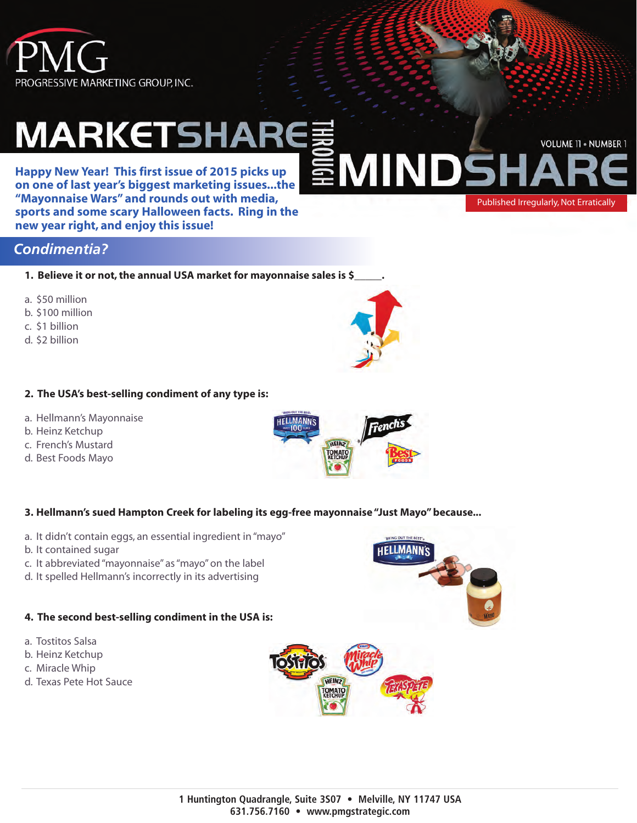

# **MARKETSH**

**Happy New Year! This first issue of 2015 picks up on one of last year's biggest marketing issues...the "Mayonnaise Wars" and rounds out with media, sports and some scary Halloween facts. Ring in the new year right, and enjoy this issue!**

#### *Condimentia?*

**1. Believe it or not, the annual USA market for mayonnaise sales is \$\_\_\_\_\_.**

- a. \$50 million
- b. \$100 million
- c. \$1 billion
- d. \$2 billion

#### **2. The USA's best-selling condiment of any type is:**

- a. Hellmann's Mayonnaise
- b. Heinz Ketchup
- c. French's Mustard
- d. Best Foods Mayo

#### **3. Hellmann's sued Hampton Creek for labeling its egg-free mayonnaise "Just Mayo" because...**

- a. It didn't contain eggs, an essential ingredient in "mayo"
- b. It contained sugar
- c. It abbreviated "mayonnaise" as "mayo" on the label
- d. It spelled Hellmann's incorrectly in its advertising

#### **4. The second best-selling condiment in the USA is:**

- a. Tostitos Salsa
- b. Heinz Ketchup
- c. Miracle Whip
- d. Texas Pete Hot Sauce





INI





Published Irregularly, Not Erratically

**VOLUME 11 · NUMBER 1**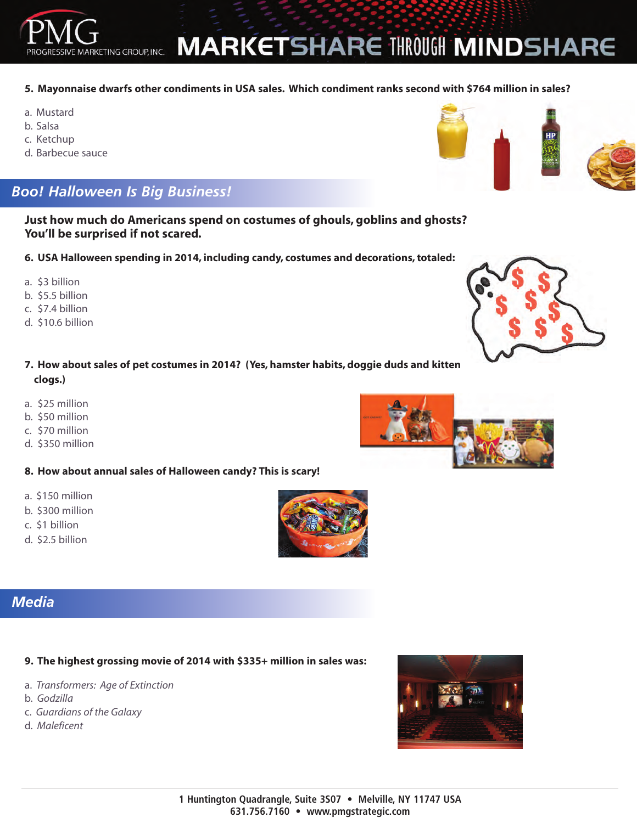### **MARKETSHARE THROUGH MINDSHARE**

#### **5. Mayonnaise dwarfs other condiments in USA sales. Which condiment ranks second with \$764 million in sales?**

- a. Mustard
- b. Salsa
- c. Ketchup
- d. Barbecue sauce

### *Boo! Halloween Is Big Business!*

MARKETING GROUP, INC.

**Just how much do Americans spend on costumes of ghouls, goblins and ghosts? You'll be surprised if not scared.**

- **6. USA Halloween spending in 2014, including candy, costumes and decorations, totaled:**
- a. \$3 billion
- b. \$5.5 billion
- c. \$7.4 billion
- d. \$10.6 billion
- **7. How about sales of pet costumes in 2014? (Yes, hamster habits, doggie duds and kitten clogs.)**
- a. \$25 million
- b. \$50 million
- c. \$70 million
- d. \$350 million
- **8. How about annual sales of Halloween candy? This is scary!**
- a. \$150 million
- b. \$300 million
- c. \$1 billion
- d. \$2.5 billion

#### *Media*

#### **9. The highest grossing movie of 2014 with \$335+ million in sales was:**

- a. *Transformers: Age of Extinction*
- b. *Godzilla*
- c. *Guardians of the Galaxy*
- d. *Maleficent*







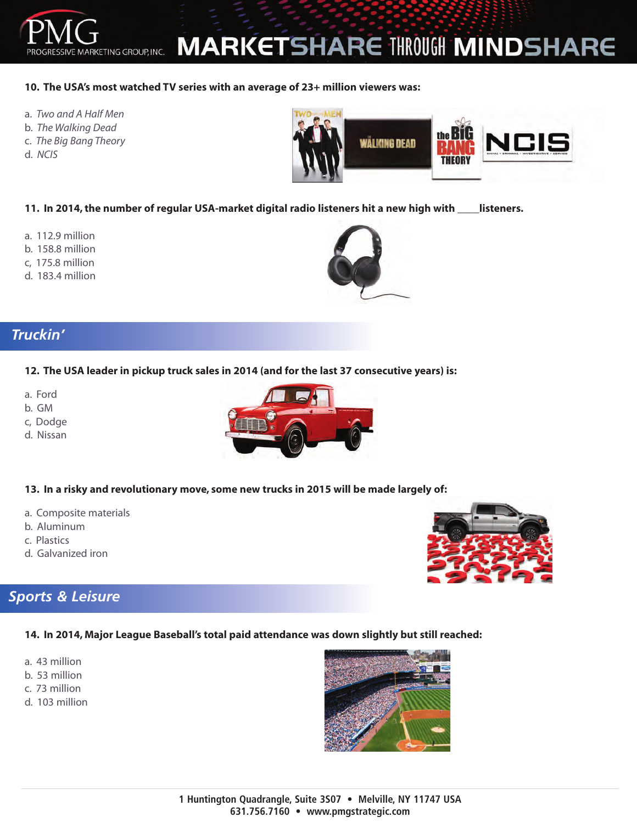### **MARKETSHARE THROUGH MINDSHARE**

#### **10. The USA's most watched TV series with an average of 23+ million viewers was:**

a. *Two and A Half Men*

MARKETING GROUP, INC.

- b. *The Walking Dead*
- c. *The Big Bang Theory*
- d. *NCIS*



**11. In 2014, the number of regular USA-market digital radio listeners hit a new high with \_\_\_\_listeners.**

- a. 112.9 million
- b. 158.8 million
- c, 175.8 million
- d. 183.4 million



#### *Truckin'*

#### **12. The USA leader in pickup truck sales in 2014 (and for the last 37 consecutive years) is:**

- a. Ford
- b. GM
- c, Dodge
- d. Nissan



#### **13. In a risky and revolutionary move, some new trucks in 2015 will be made largely of:**

- a. Composite materials
- b. Aluminum
- c. Plastics
- d. Galvanized iron

#### *Sports & Leisure*

#### **14. In 2014, Major League Baseball's total paid attendance was down slightly but still reached:**

- a. 43 million
- b. 53 million
- c. 73 million
- d. 103 million





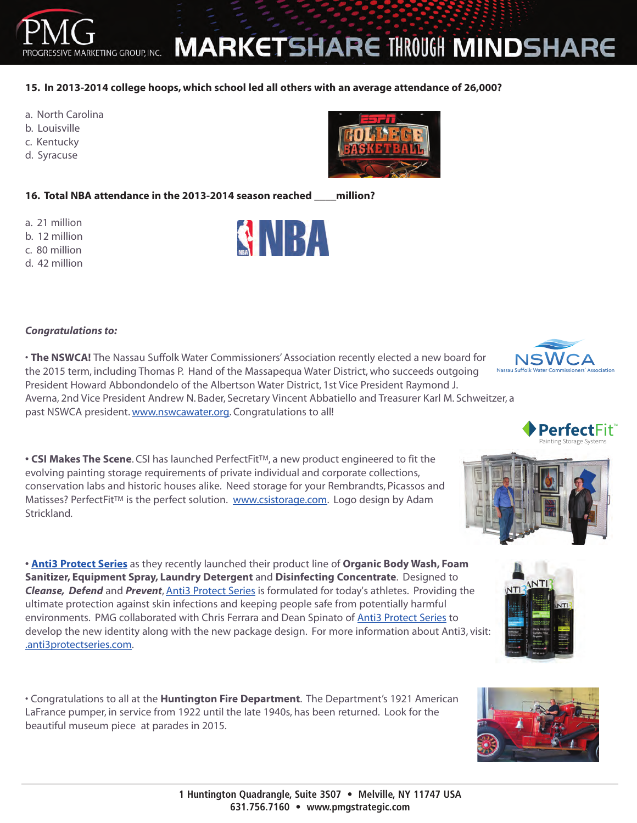

**1 Huntington Quadrangle, Suite 3S07 • Melville, NY 11747 USA 631.756.7160 • www.pmgstrategic.com**

#### *Congratulations to:*

• **The NSWCA!** The Nassau Suffolk Water Commissioners' Association recently elected a new board for the 2015 term, including Thomas P. Hand of the Massapequa Water District, who succeeds outgoing President Howard Abbondondelo of the Albertson Water District, 1st Vice President Raymond J.

Averna, 2nd Vice President Andrew N. Bader, Secretary Vincent Abbatiello and Treasurer Karl M. Schweitzer, a past NSWCA president. www.nswcawater.org. Congratulations to all!

**• CSI Makes The Scene**. CSI has launched PerfectFit™, a new product engineered to fit the evolving painting storage requirements of private individual and corporate collections, conservation labs and historic houses alike. Need storage for your Rembrandts, Picassos and Matisses? PerfectFit<sup>™</sup> is the perfect solution. www.csistorage.com. Logo design by Adam Strickland.

**• Anti3 Protect Series** as they recently launched their product line of **Organic Body Wash, Foam Sanitizer, Equipment Spray, Laundry Detergent** and **Disinfecting Concentrate**. Designed to *Cleanse, Defend* and *Prevent*, Anti3 Protect Series is formulated for today's athletes. Providing the ultimate protection against skin infections and keeping people safe from potentially harmful environments. PMG collaborated with Chris Ferrara and Dean Spinato of Anti3 Protect Series to develop the new identity along with the new package design. For more information about Anti3, visit: .anti3protectseries.com.

• Congratulations to all at the **Huntington Fire Department**. The Department's 1921 American LaFrance pumper, in service from 1922 until the late 1940s, has been returned. Look for the beautiful museum piece at parades in 2015.

## **MARKETSHARE THROUGH MINDSHARE**

#### **15. In 2013-2014 college hoops, which school led all others with an average attendance of 26,000?**

- a. North Carolina
- b. Louisville
- c. Kentucky
- d. Syracuse

a. 21 million b. 12 million c. 80 million d. 42 million SNBA











**TM**